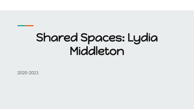# Shared Spaces: Lydia Middleton

2020-2021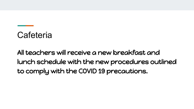## **Cafeteria**

All teachers will receive a new breakfast and lunch schedule with the new procedures outlined to comply with the COVID 19 precautions.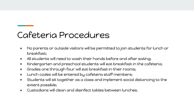## Cafeteria Procedures

- **●** No parents or outside visitors will be permitted to join students for lunch or breakfast;
- **●** All students will need to wash their hands before and after eating;
- **●** Kindergarten and preschool students will eat breakfast in the cafeteria;
- **●** Grades one through four will eat breakfast in their rooms;
- **●** Lunch codes will be entered by cafeteria staff members;
- **●** Students will sit together as a class and implement social distancing to the extent possible;
- **●** Custodians will clean and disinfect tables between lunches.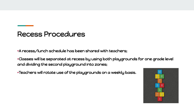#### Recess Procedures

•A recess/lunch schedule has been shared with teachers;

•Classes will be separated at recess by using both playgrounds for one grade level and dividing the second playground into zones;

•Teachers will rotate use of the playgrounds on a weekly basis.

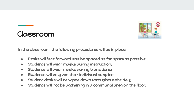

#### Classroom

In the classroom, the following procedures will be in place:

- **●** Desks will face forward and be spaced as far apart as possible;
- **●** Students will wear masks during instruction;
- **●** Students will wear masks during transitions;
- **●** Students will be given their individual supplies;
- **●** Student desks will be wiped down throughout the day;
- **●** Students will not be gathering in a communal area on the floor.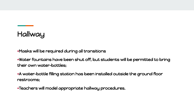### **Hallway**

•Masks will be required during all transitions

•Water fountains have been shut off, but students will be permitted to bring their own water-bottles;

•A water-bottle filling station has been installed outside the ground floor restrooms;

•Teachers will model appropriate hallway procedures.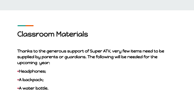#### Classroom Materials

Thanks to the generous support of Super ATV, very few items need to be supplied by parents or guardians. The following will be needed for the upcoming year:

•Headphones;

•A backpack;

•A water bottle.